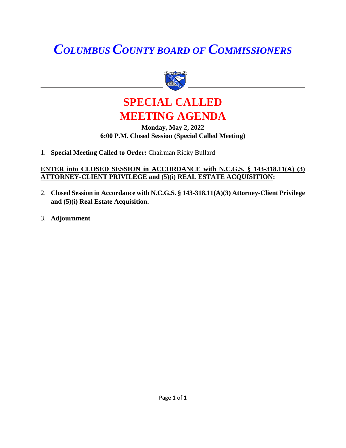# *COLUMBUS COUNTY BOARD OF COMMISSIONERS*





### **Monday, May 2, 2022 6:00 P.M. Closed Session (Special Called Meeting)**

1. **Special Meeting Called to Order:** Chairman Ricky Bullard

### **ENTER into CLOSED SESSION in ACCORDANCE with N.C.G.S. § 143-318.11(A) (3) ATTORNEY-CLIENT PRIVILEGE and (5)(i) REAL ESTATE ACQUISITION:**

- 2. **Closed Session in Accordance with N.C.G.S. § 143-318.11(A)(3) Attorney-Client Privilege and (5)(i) Real Estate Acquisition.**
- 3. **Adjournment**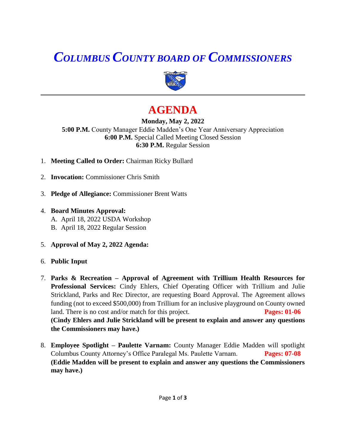# *COLUMBUS COUNTY BOARD OF COMMISSIONERS*



## **AGENDA**

**Monday, May 2, 2022 5:00 P.M.** County Manager Eddie Madden's One Year Anniversary Appreciation **6:00 P.M.** Special Called Meeting Closed Session **6:30 P.M.** Regular Session

- 1. **Meeting Called to Order:** Chairman Ricky Bullard
- 2. **Invocation:** Commissioner Chris Smith
- 3. **Pledge of Allegiance:** Commissioner Brent Watts
- 4. **Board Minutes Approval:** A. April 18, 2022 USDA Workshop B. April 18, 2022 Regular Session
- 5. **Approval of May 2, 2022 Agenda:**
- 6. **Public Input**
- 7. **Parks & Recreation – Approval of Agreement with Trillium Health Resources for Professional Services:** Cindy Ehlers, Chief Operating Officer with Trillium and Julie Strickland, Parks and Rec Director, are requesting Board Approval. The Agreement allows funding (not to exceed \$500,000) from Trillium for an inclusive playground on County owned land. There is no cost and/or match for this project. **Pages: 01-06 (Cindy Ehlers and Julie Strickland will be present to explain and answer any questions the Commissioners may have.)**
- 8. **Employee Spotlight – Paulette Varnam:** County Manager Eddie Madden will spotlight Columbus County Attorney's Office Paralegal Ms. Paulette Varnam. **Pages: 07-08 (Eddie Madden will be present to explain and answer any questions the Commissioners may have.)**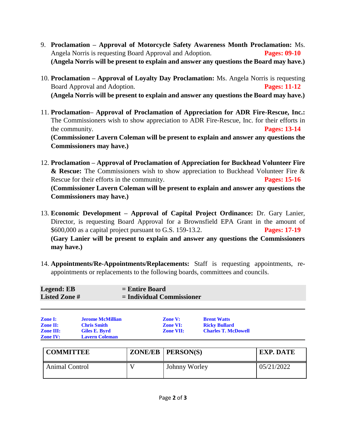- 9. **Proclamation – Approval of Motorcycle Safety Awareness Month Proclamation:** Ms. Angela Norris is requesting Board Approval and Adoption. **Pages: 09-10 (Angela Norris will be present to explain and answer any questions the Board may have.)**
- 10. **Proclamation – Approval of Loyalty Day Proclamation:** Ms. Angela Norris is requesting Board Approval and Adoption. **Pages: 11-12 (Angela Norris will be present to explain and answer any questions the Board may have.)**
- 11. **Proclamation– Approval of Proclamation of Appreciation for ADR Fire-Rescue, Inc.:**  The Commissioners wish to show appreciation to ADR Fire-Rescue, Inc. for their efforts in the community. **Pages: 13-14 (Commissioner Lavern Coleman will be present to explain and answer any questions the Commissioners may have.)**
- 12. **Proclamation – Approval of Proclamation of Appreciation for Buckhead Volunteer Fire & Rescue:** The Commissioners wish to show appreciation to Buckhead Volunteer Fire & Rescue for their efforts in the community. **Pages: 15-16 (Commissioner Lavern Coleman will be present to explain and answer any questions the Commissioners may have.)**
- 13. **Economic Development – Approval of Capital Project Ordinance:** Dr. Gary Lanier, Director, is requesting Board Approval for a Brownsfield EPA Grant in the amount of \$600,000 as a capital project pursuant to G.S. 159-13.2. **Pages: 17-19 (Gary Lanier will be present to explain and answer any questions the Commissioners may have.)**
- 14. **Appointments/Re-Appointments/Replacements:** Staff is requesting appointments, reappointments or replacements to the following boards, committees and councils.

| Legend: EB          | $=$ Entire Board            |
|---------------------|-----------------------------|
| <b>Listed Zone#</b> | $=$ Individual Commissioner |
|                     |                             |
|                     |                             |

| <b>Zone I:</b>   | <b>Jerome McMillian</b> | <b>Zone V:</b>   | <b>Brent Watts</b>         |
|------------------|-------------------------|------------------|----------------------------|
| <b>Zone II:</b>  | <b>Chris Smith</b>      | <b>Zone VI:</b>  | <b>Ricky Bullard</b>       |
| <b>Zone III:</b> | Giles E. Byrd           | <b>Zone VII:</b> | <b>Charles T. McDowell</b> |
| <b>Zone IV:</b>  | <b>Lavern Coleman</b>   |                  |                            |

| <b>COMMITTEE</b> | $ZONE/EB$   $PERSON(S)$ | <b>EXP. DATE</b> |
|------------------|-------------------------|------------------|
| Animal Control   | Johnny Worley           | 05/21/2022       |